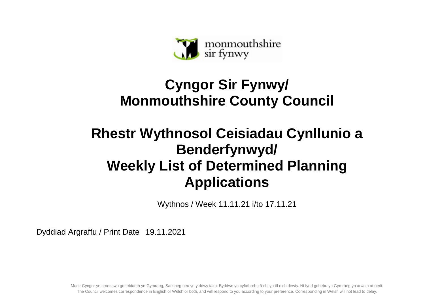

## **Cyngor Sir Fynwy/ Monmouthshire County Council**

## **Rhestr Wythnosol Ceisiadau Cynllunio a Benderfynwyd/ Weekly List of Determined Planning Applications**

Wythnos / Week 11.11.21 i/to 17.11.21

Dyddiad Argraffu / Print Date 19.11.2021

Mae'r Cyngor yn croesawu gohebiaeth yn Gymraeg, Saesneg neu yn y ddwy iaith. Byddwn yn cyfathrebu â chi yn ôl eich dewis. Ni fydd gohebu yn Gymraeg yn arwain at oedi. The Council welcomes correspondence in English or Welsh or both, and will respond to you according to your preference. Corresponding in Welsh will not lead to delay.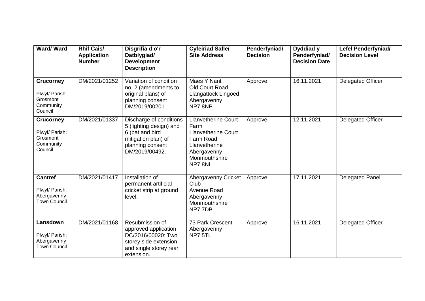| <b>Ward/Ward</b>                                                       | <b>Rhif Cais/</b><br><b>Application</b><br><b>Number</b> | Disgrifia d o'r<br>Datblygiad/<br><b>Development</b><br><b>Description</b>                                                         | <b>Cyfeiriad Safle/</b><br><b>Site Address</b>                                                                                            | Penderfyniad/<br><b>Decision</b> | Dyddiad y<br>Penderfyniad/<br><b>Decision Date</b> | <b>Lefel Penderfyniad/</b><br><b>Decision Level</b> |
|------------------------------------------------------------------------|----------------------------------------------------------|------------------------------------------------------------------------------------------------------------------------------------|-------------------------------------------------------------------------------------------------------------------------------------------|----------------------------------|----------------------------------------------------|-----------------------------------------------------|
| <b>Crucorney</b><br>Plwyf/ Parish:<br>Grosmont<br>Community<br>Council | DM/2021/01252                                            | Variation of condition<br>no. 2 (amendments to<br>original plans) of<br>planning consent<br>DM/2019/00201                          | Maes Y Nant<br>Old Court Road<br>Llangattock Lingoed<br>Abergavenny<br>NP78NP                                                             | Approve                          | 16.11.2021                                         | <b>Delegated Officer</b>                            |
| <b>Crucorney</b><br>Plwyf/ Parish:<br>Grosmont<br>Community<br>Council | DM/2021/01337                                            | Discharge of conditions<br>5 (lighting design) and<br>6 (bat and bird<br>mitigation plan) of<br>planning consent<br>DM/2019/00492. | <b>Llanvetherine Court</b><br>Farm<br><b>Llanvetherine Court</b><br>Farm Road<br>Llanvetherine<br>Abergavenny<br>Monmouthshire<br>NP7 8NL | Approve                          | 12.11.2021                                         | Delegated Officer                                   |
| <b>Cantref</b><br>Plwyf/ Parish:<br>Abergavenny<br><b>Town Council</b> | DM/2021/01417                                            | Installation of<br>permanent artificial<br>cricket strip at ground<br>level.                                                       | Abergavenny Cricket<br>Club<br>Avenue Road<br>Abergavenny<br>Monmouthshire<br>NP77DB                                                      | Approve                          | 17.11.2021                                         | Delegated Panel                                     |
| Lansdown<br>Plwyf/ Parish:<br>Abergavenny<br><b>Town Council</b>       | DM/2021/01168                                            | Resubmission of<br>approved application<br>DC/2016/00020: Two<br>storey side extension<br>and single storey rear<br>extension.     | 73 Park Crescent<br>Abergavenny<br>NP7 5TL                                                                                                | Approve                          | 16.11.2021                                         | <b>Delegated Officer</b>                            |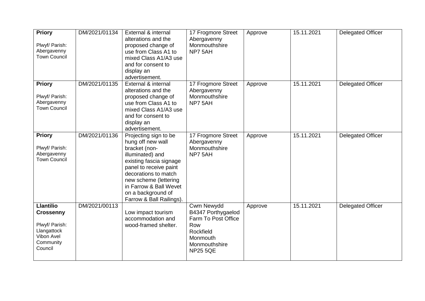| <b>Priory</b><br>Plwyf/ Parish:<br>Abergavenny<br><b>Town Council</b>                                       | DM/2021/01134 | External & internal<br>alterations and the<br>proposed change of<br>use from Class A1 to<br>mixed Class A1/A3 use<br>and for consent to<br>display an<br>advertisement.                                                                                           | 17 Frogmore Street<br>Abergavenny<br>Monmouthshire<br>NP7 5AH                                                               | Approve | 15.11.2021 | <b>Delegated Officer</b> |
|-------------------------------------------------------------------------------------------------------------|---------------|-------------------------------------------------------------------------------------------------------------------------------------------------------------------------------------------------------------------------------------------------------------------|-----------------------------------------------------------------------------------------------------------------------------|---------|------------|--------------------------|
| <b>Priory</b><br>Plwyf/ Parish:<br>Abergavenny<br><b>Town Council</b>                                       | DM/2021/01135 | External & internal<br>alterations and the<br>proposed change of<br>use from Class A1 to<br>mixed Class A1/A3 use<br>and for consent to<br>display an<br>advertisement.                                                                                           | 17 Frogmore Street<br>Abergavenny<br>Monmouthshire<br>NP7 5AH                                                               | Approve | 15.11.2021 | <b>Delegated Officer</b> |
| <b>Priory</b><br>Plwyf/ Parish:<br>Abergavenny<br><b>Town Council</b>                                       | DM/2021/01136 | Projecting sign to be<br>hung off new wall<br>bracket (non-<br>illuminated) and<br>existing fascia signage<br>panel to receive paint<br>decorations to match<br>new scheme (lettering<br>in Farrow & Ball Wevet<br>on a background of<br>Farrow & Ball Railings). | 17 Frogmore Street<br>Abergavenny<br>Monmouthshire<br>NP7 5AH                                                               | Approve | 15.11.2021 | <b>Delegated Officer</b> |
| <b>Llantilio</b><br><b>Crossenny</b><br>Plwyf/ Parish:<br>Llangattock<br>Vibon Avel<br>Community<br>Council | DM/2021/00113 | Low impact tourism<br>accommodation and<br>wood-framed shelter.                                                                                                                                                                                                   | Cwm Newydd<br>B4347 Porthygaelod<br>Farm To Post Office<br>Row<br>Rockfield<br>Monmouth<br>Monmouthshire<br><b>NP25 5QE</b> | Approve | 15.11.2021 | <b>Delegated Officer</b> |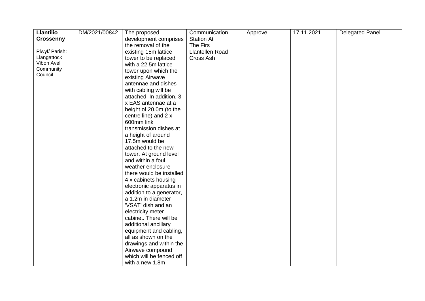| <b>Llantilio</b> | DM/2021/00842 | The proposed             | Communication     | Approve | 17.11.2021 | <b>Delegated Panel</b> |
|------------------|---------------|--------------------------|-------------------|---------|------------|------------------------|
| <b>Crossenny</b> |               | development comprises    | <b>Station At</b> |         |            |                        |
|                  |               | the removal of the       | The Firs          |         |            |                        |
| Plwyf/ Parish:   |               | existing 15m lattice     | Llantellen Road   |         |            |                        |
| Llangattock      |               | tower to be replaced     | Cross Ash         |         |            |                        |
| Vibon Avel       |               | with a 22.5m lattice     |                   |         |            |                        |
| Community        |               | tower upon which the     |                   |         |            |                        |
| Council          |               | existing Airwave         |                   |         |            |                        |
|                  |               | antennae and dishes      |                   |         |            |                        |
|                  |               | with cabling will be     |                   |         |            |                        |
|                  |               | attached. In addition, 3 |                   |         |            |                        |
|                  |               | x EAS antennae at a      |                   |         |            |                        |
|                  |               | height of 20.0m (to the  |                   |         |            |                        |
|                  |               | centre line) and 2 x     |                   |         |            |                        |
|                  |               | 600mm link               |                   |         |            |                        |
|                  |               | transmission dishes at   |                   |         |            |                        |
|                  |               | a height of around       |                   |         |            |                        |
|                  |               | 17.5m would be           |                   |         |            |                        |
|                  |               | attached to the new      |                   |         |            |                        |
|                  |               | tower. At ground level   |                   |         |            |                        |
|                  |               | and within a foul        |                   |         |            |                        |
|                  |               | weather enclosure        |                   |         |            |                        |
|                  |               | there would be installed |                   |         |            |                        |
|                  |               | 4 x cabinets housing     |                   |         |            |                        |
|                  |               | electronic apparatus in  |                   |         |            |                        |
|                  |               | addition to a generator, |                   |         |            |                        |
|                  |               | a 1.2m in diameter       |                   |         |            |                        |
|                  |               | 'VSAT' dish and an       |                   |         |            |                        |
|                  |               | electricity meter        |                   |         |            |                        |
|                  |               | cabinet. There will be   |                   |         |            |                        |
|                  |               | additional ancillary     |                   |         |            |                        |
|                  |               | equipment and cabling,   |                   |         |            |                        |
|                  |               | all as shown on the      |                   |         |            |                        |
|                  |               | drawings and within the  |                   |         |            |                        |
|                  |               | Airwave compound         |                   |         |            |                        |
|                  |               | which will be fenced off |                   |         |            |                        |
|                  |               | with a new 1.8m          |                   |         |            |                        |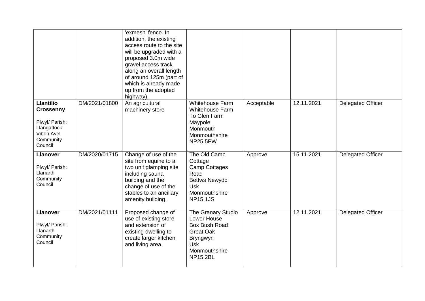|                                                                                                             |               | 'exmesh' fence. In<br>addition, the existing<br>access route to the site<br>will be upgraded with a<br>proposed 3.0m wide<br>gravel access track<br>along an overall length<br>of around 125m (part of<br>which is already made<br>up from the adopted<br>highway). |                                                                                                                                      |            |            |                          |
|-------------------------------------------------------------------------------------------------------------|---------------|---------------------------------------------------------------------------------------------------------------------------------------------------------------------------------------------------------------------------------------------------------------------|--------------------------------------------------------------------------------------------------------------------------------------|------------|------------|--------------------------|
| <b>Llantilio</b><br><b>Crossenny</b><br>Plwyf/ Parish:<br>Llangattock<br>Vibon Avel<br>Community<br>Council | DM/2021/01800 | An agricultural<br>machinery store                                                                                                                                                                                                                                  | Whitehouse Farm<br>Whitehouse Farm<br>To Glen Farm<br>Maypole<br>Monmouth<br>Monmouthshire<br><b>NP25 5PW</b>                        | Acceptable | 12.11.2021 | <b>Delegated Officer</b> |
| <b>Llanover</b><br>Plwyf/ Parish:<br>Llanarth<br>Community<br>Council                                       | DM/2020/01715 | Change of use of the<br>site from equine to a<br>two unit glamping site<br>including sauna<br>building and the<br>change of use of the<br>stables to an ancillary<br>amenity building.                                                                              | The Old Camp<br>Cottage<br><b>Camp Cottages</b><br>Road<br><b>Bettws Newydd</b><br><b>Usk</b><br>Monmouthshire<br><b>NP15 1JS</b>    | Approve    | 15.11.2021 | <b>Delegated Officer</b> |
| <b>Llanover</b><br>Plwyf/ Parish:<br>Llanarth<br>Community<br>Council                                       | DM/2021/01111 | Proposed change of<br>use of existing store<br>and extension of<br>existing dwelling to<br>create larger kitchen<br>and living area.                                                                                                                                | The Granary Studio<br>Lower House<br>Box Bush Road<br><b>Great Oak</b><br>Bryngwyn<br><b>Usk</b><br>Monmouthshire<br><b>NP15 2BL</b> | Approve    | 12.11.2021 | <b>Delegated Officer</b> |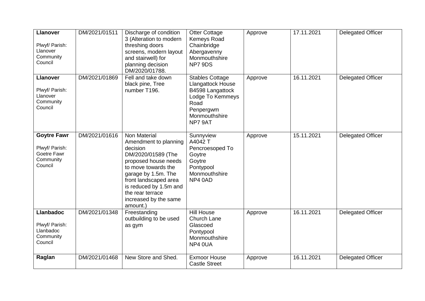| <b>Llanover</b><br>Plwyf/ Parish:<br>Llanover<br>Community<br>Council       | DM/2021/01511 | Discharge of condition<br>3 (Alteration to modern<br>threshing doors<br>screens, modern layout<br>and stairwell) for<br>planning decision<br>DM/2020/01788.                                                                                               | <b>Otter Cottage</b><br>Kemeys Road<br>Chainbridge<br>Abergavenny<br>Monmouthshire<br>NP7 9DS                                        | Approve | 17.11.2021 | <b>Delegated Officer</b> |
|-----------------------------------------------------------------------------|---------------|-----------------------------------------------------------------------------------------------------------------------------------------------------------------------------------------------------------------------------------------------------------|--------------------------------------------------------------------------------------------------------------------------------------|---------|------------|--------------------------|
| <b>Llanover</b><br>Plwyf/ Parish:<br>Llanover<br>Community<br>Council       | DM/2021/01869 | Fell and take down<br>black pine, Tree<br>number T196.                                                                                                                                                                                                    | <b>Stables Cottage</b><br>Llangattock House<br>B4598 Langattock<br>Lodge To Kemmeys<br>Road<br>Penpergwm<br>Monmouthshire<br>NP7 9AT | Approve | 16.11.2021 | <b>Delegated Officer</b> |
| <b>Goytre Fawr</b><br>Plwyf/ Parish:<br>Goetre Fawr<br>Community<br>Council | DM/2021/01616 | Non Material<br>Amendment to planning<br>decision<br>DM/2020/01589 (The<br>proposed house needs<br>to move towards the<br>garage by 1.5m. The<br>front landscaped area<br>is reduced by 1.5m and<br>the rear terrace<br>increased by the same<br>amount.) | Sunnyview<br>A4042 T<br>Pencroesoped To<br>Goytre<br>Goytre<br>Pontypool<br>Monmouthshire<br>NP4 0AD                                 | Approve | 15.11.2021 | Delegated Officer        |
| <b>Llanbadoc</b><br>Plwyf/ Parish:<br>Llanbadoc<br>Community<br>Council     | DM/2021/01348 | Freestanding<br>outbuilding to be used<br>as gym                                                                                                                                                                                                          | <b>Hill House</b><br>Church Lane<br>Glascoed<br>Pontypool<br>Monmouthshire<br>NP4 0UA                                                | Approve | 16.11.2021 | Delegated Officer        |
| Raglan                                                                      | DM/2021/01468 | New Store and Shed.                                                                                                                                                                                                                                       | <b>Exmoor House</b><br><b>Castle Street</b>                                                                                          | Approve | 16.11.2021 | Delegated Officer        |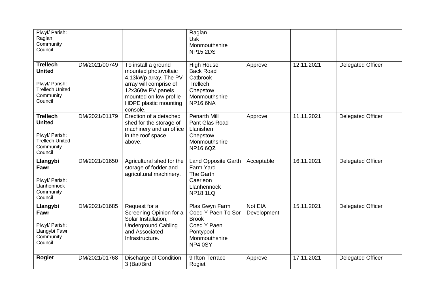| Plwyf/ Parish:<br>Raglan<br>Community<br>Council                                                     |               |                                                                                                                                                                                    | Raglan<br><b>Usk</b><br>Monmouthshire<br><b>NP15 2DS</b>                                                      |                        |            |                          |
|------------------------------------------------------------------------------------------------------|---------------|------------------------------------------------------------------------------------------------------------------------------------------------------------------------------------|---------------------------------------------------------------------------------------------------------------|------------------------|------------|--------------------------|
| <b>Trellech</b><br><b>United</b><br>Plwyf/ Parish:<br><b>Trellech United</b><br>Community<br>Council | DM/2021/00749 | To install a ground<br>mounted photovoltaic<br>4.13kWp array. The PV<br>array will comprise of<br>12x360w PV panels<br>mounted on low profile<br>HDPE plastic mounting<br>console. | <b>High House</b><br><b>Back Road</b><br>Catbrook<br>Trellech<br>Chepstow<br>Monmouthshire<br><b>NP16 6NA</b> | Approve                | 12.11.2021 | <b>Delegated Officer</b> |
| <b>Trellech</b><br><b>United</b><br>Plwyf/ Parish:<br><b>Trellech United</b><br>Community<br>Council | DM/2021/01179 | Erection of a detached<br>shed for the storage of<br>machinery and an office<br>in the roof space<br>above.                                                                        | <b>Penarth Mill</b><br>Pant Glas Road<br>Llanishen<br>Chepstow<br>Monmouthshire<br><b>NP16 6QZ</b>            | Approve                | 11.11.2021 | <b>Delegated Officer</b> |
| Llangybi<br>Fawr<br>Plwyf/ Parish:<br>Llanhennock<br>Community<br>Council                            | DM/2021/01650 | Agricultural shed for the<br>storage of fodder and<br>agricultural machinery.                                                                                                      | <b>Land Opposite Garth</b><br>Farm Yard<br>The Garth<br>Caerleon<br>Llanhennock<br><b>NP181LQ</b>             | Acceptable             | 16.11.2021 | <b>Delegated Officer</b> |
| Llangybi<br>Fawr<br>Plwyf/ Parish:<br>Llangybi Fawr<br>Community<br>Council                          | DM/2021/01685 | Request for a<br>Screening Opinion for a<br>Solar Installation,<br><b>Underground Cabling</b><br>and Associated<br>Infrastructure.                                                 | Plas Gwyn Farm<br>Coed Y Paen To Sor<br><b>Brook</b><br>Coed Y Paen<br>Pontypool<br>Monmouthshire<br>NP4 0SY  | Not EIA<br>Development | 15.11.2021 | <b>Delegated Officer</b> |
| <b>Rogiet</b>                                                                                        | DM/2021/01768 | Discharge of Condition<br>3 (Bat/Bird                                                                                                                                              | 9 Ifton Terrace<br>Rogiet                                                                                     | Approve                | 17.11.2021 | <b>Delegated Officer</b> |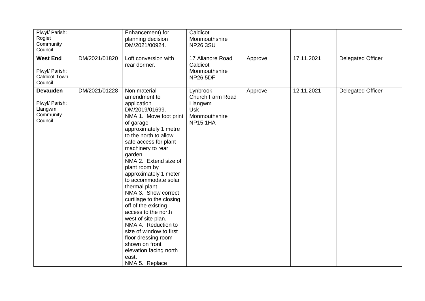| Plwyf/ Parish:<br>Rogiet<br>Community<br>Council                     |               | Enhancement) for<br>planning decision<br>DM/2021/00924.                                                                                                                                                                                                                                                                                                                                                                                                                                                                                                                                            | Caldicot<br>Monmouthshire<br><b>NP26 3SU</b>                                              |         |            |                          |
|----------------------------------------------------------------------|---------------|----------------------------------------------------------------------------------------------------------------------------------------------------------------------------------------------------------------------------------------------------------------------------------------------------------------------------------------------------------------------------------------------------------------------------------------------------------------------------------------------------------------------------------------------------------------------------------------------------|-------------------------------------------------------------------------------------------|---------|------------|--------------------------|
| <b>West End</b><br>Plwyf/ Parish:<br><b>Caldicot Town</b><br>Council | DM/2021/01820 | Loft conversion with<br>rear dormer.                                                                                                                                                                                                                                                                                                                                                                                                                                                                                                                                                               | 17 Alianore Road<br>Caldicot<br>Monmouthshire<br><b>NP26 5DF</b>                          | Approve | 17.11.2021 | <b>Delegated Officer</b> |
| <b>Devauden</b><br>Plwyf/ Parish:<br>Llangwm<br>Community<br>Council | DM/2021/01228 | Non material<br>amendment to<br>application<br>DM/2019/01699.<br>NMA 1. Move foot print<br>of garage<br>approximately 1 metre<br>to the north to allow<br>safe access for plant<br>machinery to rear<br>garden.<br>NMA 2. Extend size of<br>plant room by<br>approximately 1 meter<br>to accommodate solar<br>thermal plant<br>NMA 3. Show correct<br>curtilage to the closing<br>off of the existing<br>access to the north<br>west of site plan.<br>NMA 4. Reduction to<br>size of window to first<br>floor dressing room<br>shown on front<br>elevation facing north<br>east.<br>NMA 5. Replace | Lynbrook<br>Church Farm Road<br>Llangwm<br><b>Usk</b><br>Monmouthshire<br><b>NP15 1HA</b> | Approve | 12.11.2021 | <b>Delegated Officer</b> |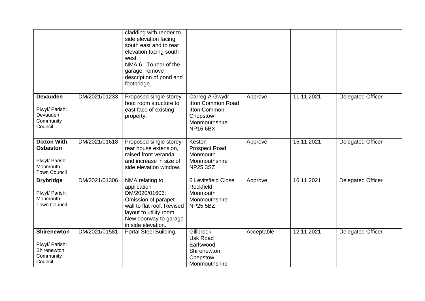|                                                                                            |               | cladding with render to<br>side elevation facing<br>south east and to rear<br>elevation facing south<br>west.<br>NMA 6. To rear of the<br>garage, remove<br>description of pond and<br>footbridge. |                                                                                                     |            |            |                          |
|--------------------------------------------------------------------------------------------|---------------|----------------------------------------------------------------------------------------------------------------------------------------------------------------------------------------------------|-----------------------------------------------------------------------------------------------------|------------|------------|--------------------------|
| <b>Devauden</b><br>Plwyf/ Parish:<br>Devauden<br>Community<br>Council                      | DM/2021/01233 | Proposed single storey<br>boot room structure to<br>east face of existing<br>property.                                                                                                             | Carreg A Gwydr<br>Itton Common Road<br>Itton Common<br>Chepstow<br>Monmouthshire<br><b>NP16 6BX</b> | Approve    | 11.11.2021 | <b>Delegated Officer</b> |
| <b>Dixton With</b><br><b>Osbaston</b><br>Plwyf/ Parish:<br>Monmouth<br><b>Town Council</b> | DM/2021/01618 | Proposed single storey<br>rear house extension,<br>raised front veranda<br>and increase in size of<br>side elevation window.                                                                       | Keston<br><b>Prospect Road</b><br>Monmouth<br>Monmouthshire<br><b>NP25 3SZ</b>                      | Approve    | 15.11.2021 | <b>Delegated Officer</b> |
| <b>Drybridge</b><br>Plwyf/ Parish:<br>Monmouth<br><b>Town Council</b>                      | DM/2021/01306 | NMA relating to<br>application<br>DM/2020/01606:<br>Omission of parapet<br>wall to flat roof. Revised<br>layout to utility room.<br>New doorway to garage<br>in side elevation.                    | 6 Levitsfield Close<br>Rockfield<br>Monmouth<br>Monmouthshire<br><b>NP25 5BZ</b>                    | Approve    | 16.11.2021 | <b>Delegated Officer</b> |
| <b>Shirenewton</b><br>Plwyf/ Parish:<br>Shirenewton<br>Community<br>Council                | DM/2021/01581 | Portal Steel Building.                                                                                                                                                                             | Gillbrook<br><b>Usk Road</b><br>Earlswood<br>Shirenewton<br>Chepstow<br>Monmouthshire               | Acceptable | 12.11.2021 | <b>Delegated Officer</b> |